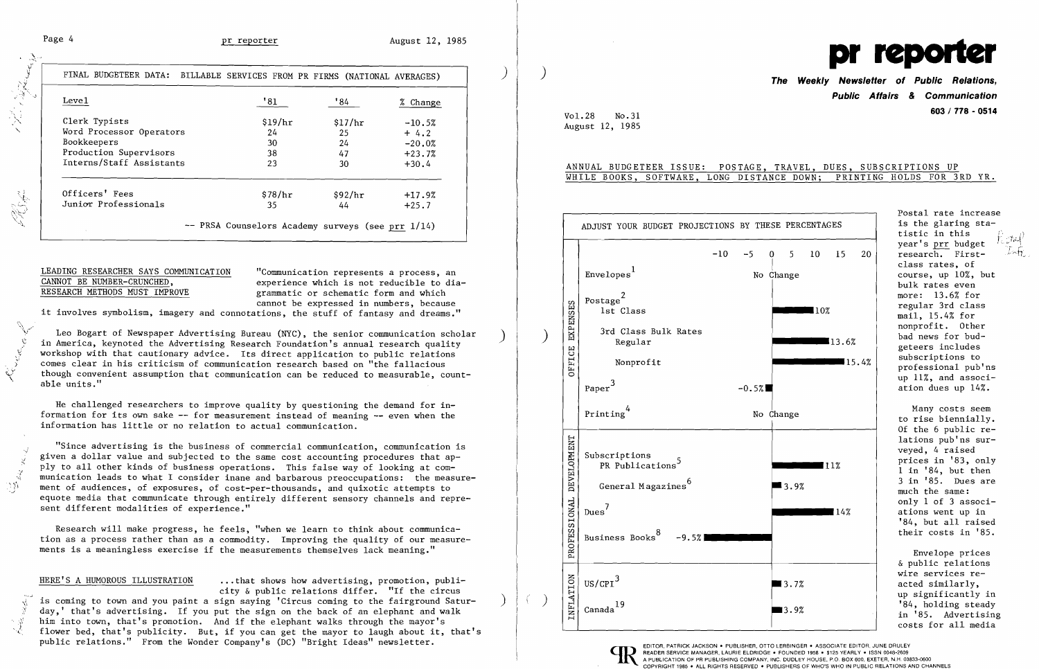$\frac{\Delta}{\gamma}$  .

| Leve1                    | '81     | '84           | % Change |
|--------------------------|---------|---------------|----------|
| Clerk Typists            | \$19/hr | \$17/hr       | $-10.5%$ |
| Word Processor Operators | 24      | 25            | $+4.2$   |
| Bookkeepers              | 30      | 24            | $-20.0%$ |
| Production Supervisors   | 38      | 47            | $+23.7%$ |
| Interns/Staff Assistants | 23      | 30            | $+30.4$  |
| Officers' Fees           | \$78/hr | $\frac{1}{2}$ | $+17.9%$ |
| Junior Professionals     | 35      | 44            | $+25.7$  |

# LEADING RESEARCHER SAYS COMMUNICATION "Communication represents a process, an <br>CANNOT BE NUMBER-CRUNCHED. experience which is not reducible to dia

CANNOT BE NUMBER-CRUNCHED,<br>
RESEARCH METHODS MUST IMPROVE experience which is not reducible to dia-<br>
experience which<br>
experience which<br>
experience which grammatic or schematic form and which cannot be expressed in numbers, because

,,~:,~t~1

**Marian** 

it involves symbolism, imagery and connotations, the stuff of fantasy and dreams."

Leo Bogart of Newspaper Advertising Bureau (NYC), the senior communication scholar in America, keynoted the Advertising Research Foundation's annual research quality workshop with that cautionary advice. Its direct application to public relations ) comes clear in his criticism of communication research based on "the fallacious though convenient assumption that communication can be reduced to measurable, count-<br>able units."

"Since advertising is the business of commercial communication, communication is given a dollar value and subjected to the same cost accounting procedures that apply to all other kinds of business operations. This false way of looking at communication leads to what I consider inane and barbarous preoccupations: the measure-<br>ment of audiences, of exposures, of cost-per-thousands, and quixotic attempts to equote media that communicate through entirely different sensory channels and represent different modalities of experience."

He challenged researchers to improve quality by questioning the demand for information for its own sake -- for measurement instead of meaning -- even when the information has little or no relation to actual communication.

HERE'S A HUMOROUS ILLUSTRATION ... that shows how advertising, promotion, publicity & public relations differ. "If the circus is coming to town and you paint a sign saying 'Circus coming to the fairground Saturday,' that's advertising. If you put the sign on the back of an elephant and walk<br>him into town, that's promotion. And if the elephant walks through the mayor's flower bed, that's publicity. But, if you can get the mayor to laugh about it, that's public relations." From the Wonder Company's (DC) "Bright Ideas" newsletter.

Postal rate increase PERCENTAGES  $\vert$  is the glaring statistic in this year's prr budget  $\frac{f_{\text{c}}/f_{\text{c}}}{\sqrt{f_{\text{c}}}}$ research. Firstclass rates, of course, up 10%, but bulk rates even<br>more: 13.6% for 10% and the mail, 15.4% for monorofit. Other

",,)

 $\dot{\cdot}$ 

"..J

Research will make progress, he feels, "when we learn to think about communication as a process rather than as a commodity. Improving the quality of our measurements is a meaningless exercise if the measurements themselves lack meaning."



## RAVEL, DUES, SUBSCRIPTIONS UP

|  |                             |                                                                                                                                                   | pr reporter<br>The Weekly Newsletter of Public Relations,<br><b>Public Affairs &amp; Communication</b><br>603 / 778 - 0514                                                                                                                                                                                                                                                                                                                               |
|--|-----------------------------|---------------------------------------------------------------------------------------------------------------------------------------------------|----------------------------------------------------------------------------------------------------------------------------------------------------------------------------------------------------------------------------------------------------------------------------------------------------------------------------------------------------------------------------------------------------------------------------------------------------------|
|  |                             | Vol.28<br>No.31<br>August 12, 1985                                                                                                                |                                                                                                                                                                                                                                                                                                                                                                                                                                                          |
|  |                             |                                                                                                                                                   | ANNUAL BUDGETEER ISSUE: POSTAGE, TRAVEL, DUES, SUBSCRIPTIONS UP<br>WHILE BOOKS, SOFTWARE, LONG DISTANCE DOWN; PRINTING HOLDS FOR 3RD YR.                                                                                                                                                                                                                                                                                                                 |
|  |                             | ADJUST YOUR BUDGET PROJECTIONS BY THESE PERCENTAGES                                                                                               | Postal rate increase<br>is the glaring sta-<br>tistic in this                                                                                                                                                                                                                                                                                                                                                                                            |
|  | EXPENSES<br>OFFICE          | $-10$<br>Envelopes <sup>1</sup><br>Postage <sup>2</sup><br>lst Class<br>3rd Class Bulk Rates<br>Regular<br>Nonprofit<br>Paper <sup>3</sup>        | year's prr budget<br>$-5$<br>5 <sub>1</sub><br>10 <sup>°</sup><br>15<br>20<br>research. First-<br>$\bf{0}$<br>class rates, of<br>course, up 10%, but<br>No Change<br>bulk rates even<br>more: 13.6% for<br>regular 3rd class<br>$\blacksquare$ 10%<br>mail, 15.4% for<br>nonprofit. Other<br>bad news for bud-<br>13.6%<br>geteers includes<br>subscriptions to<br>∎15.4%<br>professional pub'ns<br>up 11%, and associ-<br>ation dues up 14%.<br>$-0.5%$ |
|  | DEVELOPMENT<br>PROFESSIONAL | Printing<br>Subscriptions<br>PR Publications <sup>5</sup><br>General Magazines <sup>6</sup><br>$Dues^7$<br>Business Books <sup>8</sup><br>$-9.5%$ | Many costs seem<br>No Change<br>to rise biennially.<br>Of the 6 public re-<br>lations pub'ns sur-<br>veyed, 4 raised<br>prices in '83, only<br> 11%<br>$1$ in $'84$ , but then<br>3 in '85. Dues are<br>$\blacksquare$ 3.9%<br>much the same:<br>only 1 of 3 associ-<br>∎14%<br>ations went up in<br>'84, but all raised<br>their costs in '85.                                                                                                          |
|  | <b>INFLATION</b>            | $US/CPI^3$<br>19<br>Canada                                                                                                                        | Envelope prices<br>& public relations<br>wire services re-<br>acted similarly,<br>$\blacksquare$ 3.7%<br>up significantly in<br>'84, holding steady<br>■3.9%<br>in '85. Advertising<br>costs for all media                                                                                                                                                                                                                                               |